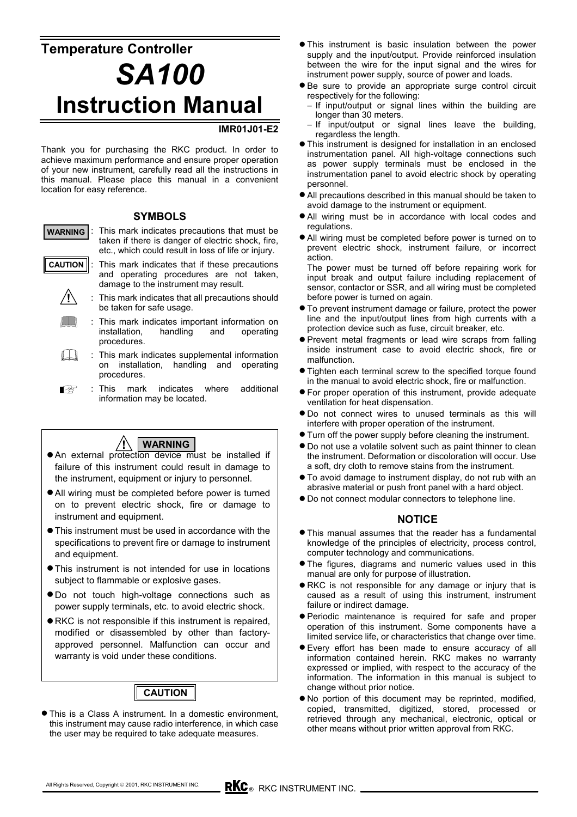# **Temperature Controller** *SA100* **Instruction Manual**

#### **IMR01J01-E2**

Thank you for purchasing the RKC product. In order to achieve maximum performance and ensure proper operation of your new instrument, carefully read all the instructions in this manual. Please place this manual in a convenient location for easy reference.

#### **SYMBOLS**

: This mark indicates precautions that must be taken if there is danger of electric shock, fire, etc., which could result in loss of life or injury. **WARNING**

**!**

- : This mark indicates that if these precautions and operating procedures are not taken, damage to the instrument may result. **CAUTION**
	- : This mark indicates that all precautions should be taken for safe usage.
	- : This mark indicates important information on installation, handling and operating procedures.
	- $\Box$ : This mark indicates supplemental information on installation, handling and operating procedures.
	- : This mark indicates where additional Ⅰ₽ information may be located.



- An external protection device must be installed if failure of this instrument could result in damage to the instrument, equipment or injury to personnel.
- $\bullet$  All wiring must be completed before power is turned on to prevent electric shock, fire or damage to instrument and equipment.
- $\bullet$  This instrument must be used in accordance with the specifications to prevent fire or damage to instrument and equipment.
- This instrument is not intended for use in locations subject to flammable or explosive gases.
- $\bullet$  Do not touch high-voltage connections such as power supply terminals, etc. to avoid electric shock.
- $\bullet$  RKC is not responsible if this instrument is repaired, modified or disassembled by other than factoryapproved personnel. Malfunction can occur and warranty is void under these conditions.

## **CAUTION**

• This is a Class A instrument. In a domestic environment, this instrument may cause radio interference, in which case the user may be required to take adequate measures.

- $\bullet$  This instrument is basic insulation between the power supply and the input/output. Provide reinforced insulation between the wire for the input signal and the wires for instrument power supply, source of power and loads.
- $\bullet$  Be sure to provide an appropriate surge control circuit respectively for the following:
	- − If input/output or signal lines within the building are longer than 30 meters.
	- − If input/output or signal lines leave the building, regardless the length.
- $\bullet$  This instrument is designed for installation in an enclosed instrumentation panel. All high-voltage connections such as power supply terminals must be enclosed in the instrumentation panel to avoid electric shock by operating personnel.
- All precautions described in this manual should be taken to avoid damage to the instrument or equipment.
- All wiring must be in accordance with local codes and regulations.
- All wiring must be completed before power is turned on to prevent electric shock, instrument failure, or incorrect action.
- The power must be turned off before repairing work for input break and output failure including replacement of sensor, contactor or SSR, and all wiring must be completed before power is turned on again.
- $\bullet$  To prevent instrument damage or failure, protect the power line and the input/output lines from high currents with a protection device such as fuse, circuit breaker, etc.
- Prevent metal fragments or lead wire scraps from falling inside instrument case to avoid electric shock, fire or malfunction.
- Tighten each terminal screw to the specified torque found in the manual to avoid electric shock, fire or malfunction.
- $\bullet$  For proper operation of this instrument, provide adequate ventilation for heat dispensation.
- $\bullet$  Do not connect wires to unused terminals as this will interfere with proper operation of the instrument.
- $\bullet$  Turn off the power supply before cleaning the instrument.
- $\bullet$  Do not use a volatile solvent such as paint thinner to clean the instrument. Deformation or discoloration will occur. Use a soft, dry cloth to remove stains from the instrument.
- $\bullet$  To avoid damage to instrument display, do not rub with an abrasive material or push front panel with a hard object.
- $\bullet$  Do not connect modular connectors to telephone line.

#### **NOTICE**

- $\bullet$  This manual assumes that the reader has a fundamental knowledge of the principles of electricity, process control, computer technology and communications.
- The figures, diagrams and numeric values used in this manual are only for purpose of illustration.
- RKC is not responsible for any damage or injury that is caused as a result of using this instrument, instrument failure or indirect damage.
- **•** Periodic maintenance is required for safe and proper operation of this instrument. Some components have a limited service life, or characteristics that change over time.
- $\bullet$  Every effort has been made to ensure accuracy of all information contained herein. RKC makes no warranty expressed or implied, with respect to the accuracy of the information. The information in this manual is subject to change without prior notice.
- $\bullet$  No portion of this document may be reprinted, modified, copied, transmitted, digitized, stored, processed or retrieved through any mechanical, electronic, optical or other means without prior written approval from RKC.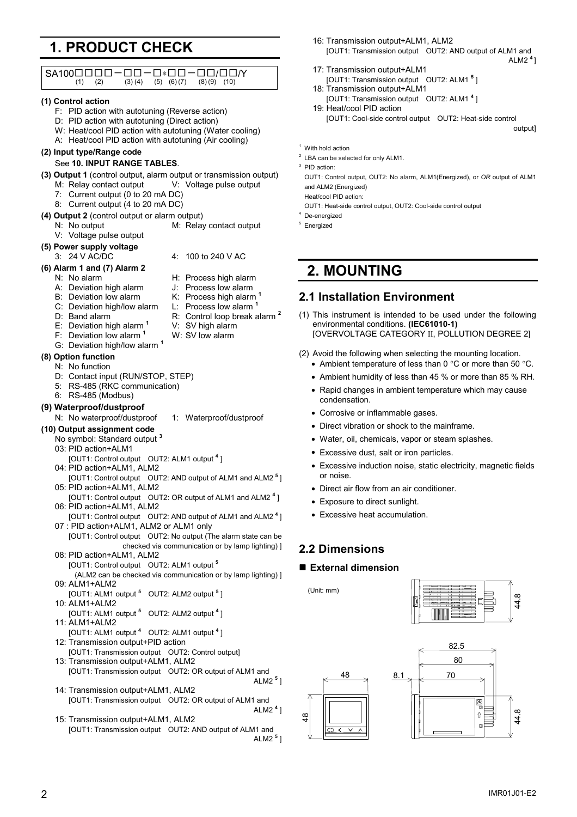## **1. PRODUCT CHECK**

| $SA100\square\square\square\square$<br>-00–0*00–00/00/<br>(1)<br>(2)<br>(3)(4)<br>$(5)$ $(6)(7)$<br>$(8)(9)$ $(10)$ | 17                |
|---------------------------------------------------------------------------------------------------------------------|-------------------|
| (1) Control action                                                                                                  | 18                |
| F: PID action with autotuning (Reverse action)                                                                      | 19                |
|                                                                                                                     |                   |
| D: PID action with autotuning (Direct action)                                                                       |                   |
| W: Heat/cool PID action with autotuning (Water cooling)                                                             |                   |
| A: Heat/cool PID action with autotuning (Air cooling)                                                               | $1$ With          |
| (2) Input type/Range code                                                                                           | $2$ LBA $\circ$   |
| See 10. INPUT RANGE TABLES.                                                                                         | $3$ PID a         |
| (3) Output 1 (control output, alarm output or transmission output)                                                  | OUT1              |
| V: Voltage pulse output<br>M. Relay contact output                                                                  | and A             |
| 7: Current output (0 to 20 mA DC)                                                                                   | Heat/             |
| Current output (4 to 20 mA DC)<br>8.                                                                                | OUT1              |
| (4) Output 2 (control output or alarm output)                                                                       | $4$ De-er         |
| N: No output<br>M: Relay contact output                                                                             | $5$ Energ         |
| V: Voltage pulse output                                                                                             |                   |
| (5) Power supply voltage                                                                                            |                   |
| 3: 24 V AC/DC<br>4:<br>100 to 240 V AC                                                                              |                   |
| (6) Alarm 1 and (7) Alarm 2                                                                                         |                   |
| N: No alarm<br>H: Process high alarm                                                                                | 2.                |
| A: Deviation high alarm<br>J: Process low alarm                                                                     |                   |
| B: Deviation low alarm<br>K: Process high alarm <sup>1</sup>                                                        | 2.1               |
| L: Process low alarm <sup>1</sup><br>C: Deviation high/low alarm                                                    |                   |
| R: Control loop break alarm <sup>2</sup><br>D: Band alarm                                                           | $(1)$ Th          |
| V: SV high alarm<br>E: Deviation high alarm <sup>1</sup>                                                            | er                |
| F: Deviation low alarm <sup>1</sup><br>W: SV low alarm                                                              | [C                |
| G: Deviation high/low alarm <sup>1</sup>                                                                            |                   |
| (8) Option function                                                                                                 | $(2)$ A           |
| N: No function                                                                                                      |                   |
| D: Contact input (RUN/STOP, STEP)                                                                                   |                   |
| 5: RS-485 (RKC communication)                                                                                       |                   |
| RS-485 (Modbus)<br>6:                                                                                               |                   |
| (9) Waterproof/dustproof                                                                                            |                   |
| N: No waterproof/dustproof<br>1: Waterproof/dustproof                                                               |                   |
| (10) Output assignment code                                                                                         |                   |
| No symbol: Standard output <sup>3</sup><br>03: PID action+ALM1                                                      |                   |
| [OUT1: Control output OUT2: ALM1 output 4]                                                                          |                   |
| 04: PID action+ALM1, ALM2                                                                                           |                   |
| [OUT1: Control output OUT2: AND output of ALM1 and ALM2 <sup>5</sup> ]                                              |                   |
| 05: PID action+ALM1, ALM2                                                                                           |                   |
| [OUT1: Control output OUT2: OR output of ALM1 and ALM2 <sup>4</sup> ]<br>06: PID action+ALM1, ALM2                  |                   |
| [OUT1: Control output OUT2: AND output of ALM1 and ALM2 <sup>4</sup> ]                                              |                   |
| 07 : PID action+ALM1, ALM2 or ALM1 only                                                                             |                   |
| [OUT1: Control output  OUT2: No output (The alarm state can be                                                      |                   |
| checked via communication or by lamp lighting) ]                                                                    | 2.2 <sub>2</sub>  |
| 08: PID action+ALM1, ALM2                                                                                           |                   |
| [OUT1: Control output OUT2: ALM1 output 5                                                                           | $\blacksquare$ Ex |
| (ALM2 can be checked via communication or by lamp lighting) ]                                                       |                   |
| 09: ALM1+ALM2<br>[OUT1: ALM1 output <sup>5</sup> OUT2: ALM2 output <sup>5</sup> ]                                   | (Uni              |
| 10: ALM1+ALM2                                                                                                       |                   |
| [OUT1: ALM1 output <sup>5</sup> OUT2: ALM2 output <sup>4</sup> ]                                                    |                   |
| 11: ALM1+ALM2                                                                                                       |                   |
| [OUT1: ALM1 output 4 OUT2: ALM1 output 4]                                                                           |                   |
| 12: Transmission output+PID action                                                                                  |                   |
| [OUT1: Transmission output  OUT2: Control output]                                                                   |                   |
| 13: Transmission output+ALM1, ALM2                                                                                  |                   |
| [OUT1: Transmission output  OUT2: OR output of ALM1 and                                                             |                   |
| ALM2 <sup>5</sup> ]                                                                                                 |                   |
| 14: Transmission output+ALM1, ALM2                                                                                  |                   |
| [OUT1: Transmission output  OUT2: OR output of ALM1 and<br>ALM2 $41$                                                |                   |
| 15: Transmission output+ALM1, ALM2                                                                                  | $\frac{8}{4}$     |
| [OUT1: Transmission output  OUT2: AND output of ALM1 and                                                            |                   |
| ALM2 <sup>5</sup> ]                                                                                                 |                   |
|                                                                                                                     |                   |

- 16: Transmission output+ALM1, ALM2 [OUT1: Transmission output OUT2: AND output of ALM1 and ALM2 **<sup>4</sup>**]
- 7: Transmission output+ALM1
- [OUT1: Transmission output OUT2: ALM1 **<sup>5</sup>** ] 8: Transmission output+ALM1
- [OUT1: Transmission output OUT2: ALM1 **<sup>4</sup>** ] 9: Heat/cool PID action

[OUT1: Cool-side control output OUT2: Heat-side control

output]

```
hold action
```
- can be selected for only ALM1.
- action<sup>.</sup>

1: Control output, OUT2: No alarm, ALM1(Energized), or OR output of ALM1 ALM2 (Energized)

- /cool PID action:
- 1: Heat-side control output, OUT2: Cool-side control output
- nergized
- gized

## **2. MOUNTING**

### **2.1 Installation Environment**

- his instrument is intended to be used under the following environmental conditions. **(IEC61010-1)** [OVERVOLTAGE CATEGORY II, POLLUTION DEGREE 2]
- void the following when selecting the mounting location.
	- Ambient temperature of less than 0  $^{\circ}$ C or more than 50  $^{\circ}$ C.
	- Ambient humidity of less than 45 % or more than 85 % RH.
	- Rapid changes in ambient temperature which may cause condensation.
	- Corrosive or inflammable gases.
	- Direct vibration or shock to the mainframe.
	- Water, oil, chemicals, vapor or steam splashes.
	- Excessive dust, salt or iron particles.
	- Excessive induction noise, static electricity, magnetic fields or noise.
	- Direct air flow from an air conditioner.
	- Exposure to direct sunlight.
	- Excessive heat accumulation.

### **2.2 Dimensions**

#### **External dimension**

it: mm)



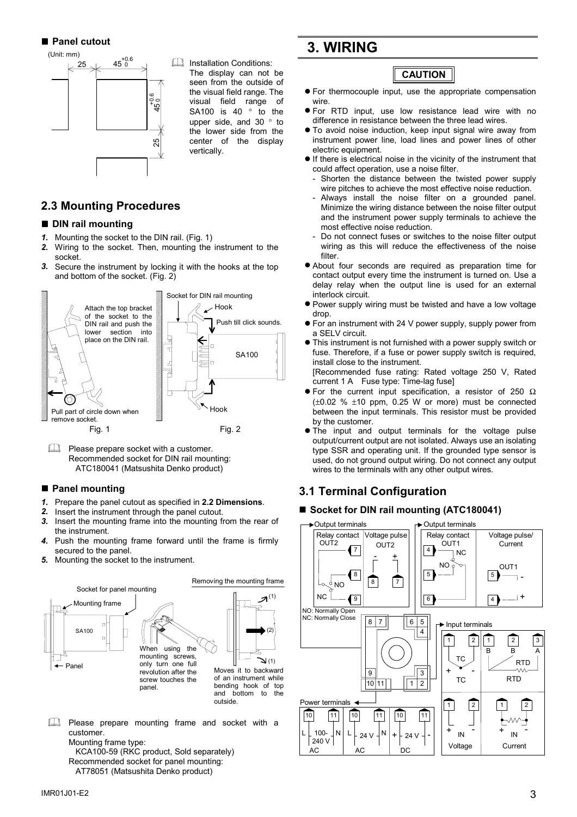**Panel cutout**



Installation Conditions: The display can not be seen from the outside of the visual field range. The visual field range of SA100 is 40 ° to the upper side, and 30 ° to the lower side from the center of the display vertically.

### **2.3 Mounting Procedures**

#### **DIN rail mounting**

- *1.* Mounting the socket to the DIN rail. (Fig. 1)
- *2.* Wiring to the socket. Then, mounting the instrument to the socket.
- *3.* Secure the instrument by locking it with the hooks at the top and bottom of the socket. (Fig. 2)



Please prepare socket with a customer. Recommended socket for DIN rail mounting: ATC180041 (Matsushita Denko product)

#### **Panel mounting**

- *1.* Prepare the panel cutout as specified in **2.2 Dimensions**.
- *2.* Insert the instrument through the panel cutout.
- *3.* Insert the mounting frame into the mounting from the rear of the instrument.
- *4.* Push the mounting frame forward until the frame is firmly secured to the panel.
- *5.* Mounting the socket to the instrument.



- Fig. 2) Please prepare mounting frame and socket with a customer.
	- Mounting frame type:
	- KCA100-59 (RKC product, Sold separately) Recommended socket for panel mounting: AT78051 (Matsushita Denko product)

## **3. WIRING**

### **CAUTION**

- $\bullet$  For thermocouple input, use the appropriate compensation wire.
- $\bullet$  For RTD input, use low resistance lead wire with no difference in resistance between the three lead wires.
- $\bullet$  To avoid noise induction, keep input signal wire away from instrument power line, load lines and power lines of other electric equipment.
- $\bullet$  If there is electrical noise in the vicinity of the instrument that could affect operation, use a noise filter.
	- Shorten the distance between the twisted power supply wire pitches to achieve the most effective noise reduction.
	- Always install the noise filter on a grounded panel. Minimize the wiring distance between the noise filter output and the instrument power supply terminals to achieve the most effective noise reduction.
	- Do not connect fuses or switches to the noise filter output wiring as this will reduce the effectiveness of the noise filter.
- $\bullet$  About four seconds are required as preparation time for contact output every time the instrument is turned on. Use a delay relay when the output line is used for an external interlock circuit.
- Power supply wiring must be twisted and have a low voltage drop.
- For an instrument with 24 V power supply, supply power from a SELV circuit.
- This instrument is not furnished with a power supply switch or fuse. Therefore, if a fuse or power supply switch is required, install close to the instrument.

[Recommended fuse rating: Rated voltage 250 V, Rated current 1 A Fuse type: Time-lag fuse]

- For the current input specification, a resistor of 250  $\Omega$  $(\pm 0.02 \% \pm 10 \text{ ppm}, 0.25 \text{ W} \text{ or more})$  must be connected between the input terminals. This resistor must be provided by the customer.
- The input and output terminals for the voltage pulse output/current output are not isolated. Always use an isolating type SSR and operating unit. If the grounded type sensor is used, do not ground output wiring. Do not connect any output wires to the terminals with any other output wires.

### **3.1 Terminal Configuration**

#### ■ Socket for DIN rail mounting (ATC180041)

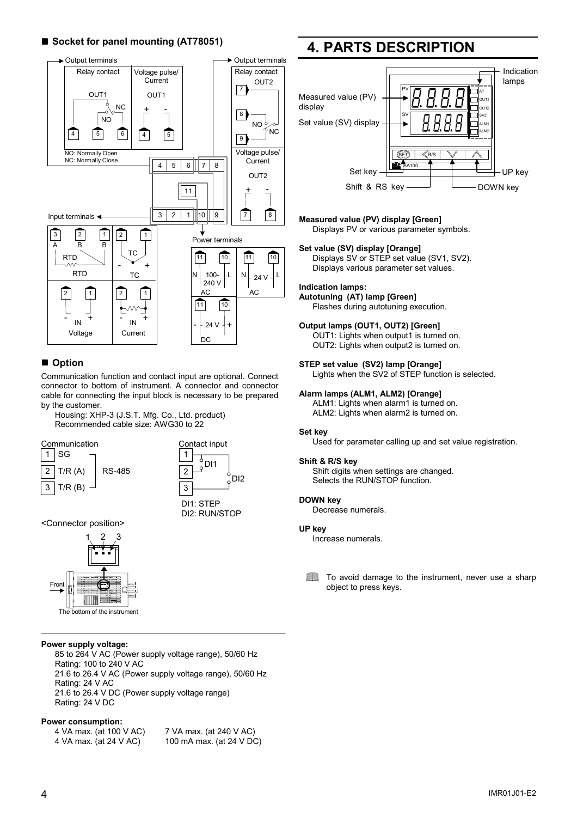#### ■ Socket for panel mounting (AT78051)



#### **Option**

Communication function and contact input are optional. Connect connector to bottom of instrument. A connector and connector cable for connecting the input block is necessary to be prepared by the customer.

Housing: XHP-3 (J.S.T. Mfg. Co., Ltd. product) Recommended cable size: AWG30 to 22





<Connector position>



#### **Power supply voltage:**

85 to 264 V AC (Power supply voltage range), 50/60 Hz Rating: 100 to 240 V AC 21.6 to 26.4 V AC (Power supply voltage range), 50/60 Hz Rating: 24 V AC 21.6 to 26.4 V DC (Power supply voltage range) Rating: 24 V DC

#### **Power consumption:**

4 VA max. (at 100 V AC) 7 VA max. (at 240 V AC) 4 VA max. (at 24 V AC) 100 mA max. (at 24 V DC)

## **4. PARTS DESCRIPTION**



#### **Measured value (PV) display [Green]**

Displays PV or various parameter symbols.

#### **Set value (SV) display [Orange]**

Displays SV or STEP set value (SV1, SV2). Displays various parameter set values.

#### **Indication lamps:**

**Autotuning (AT) lamp [Green]**

Flashes during autotuning execution.

#### **Output lamps (OUT1, OUT2) [Green]**

OUT1: Lights when output1 is turned on. OUT2: Lights when output2 is turned on.

#### **STEP set value (SV2) lamp [Orange]**

Lights when the SV2 of STEP function is selected.

#### **Alarm lamps (ALM1, ALM2) [Orange]**

ALM1: Lights when alarm1 is turned on. ALM2: Lights when alarm2 is turned on.

#### **Set key**

Used for parameter calling up and set value registration.

#### **Shift & R/S key**

Shift digits when settings are changed. Selects the RUN/STOP function.

#### **DOWN key**

Decrease numerals.

#### **UP key**

Increase numerals.

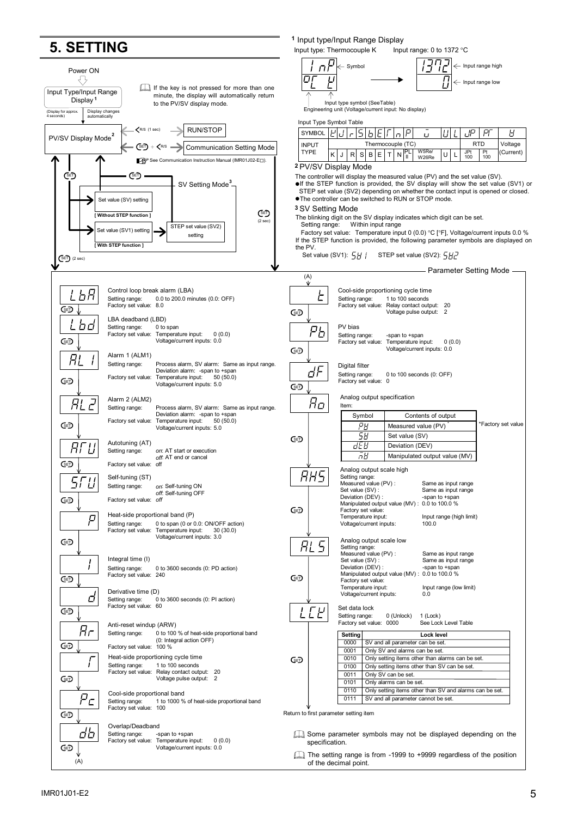## **5. SETTING**



Input type: Thermocouple K Input range: 0 to 1372  $\degree$ C

**<sup>1</sup>** Input type/Input Range Display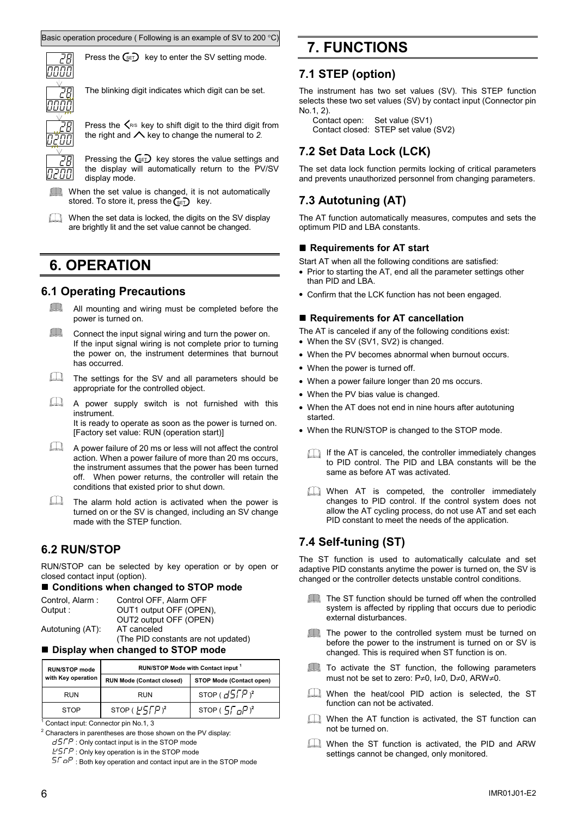nnnn

Press the  $\text{Ge}_D$  key to enter the SV setting mode.

The blinking digit indicates which digit can be set.

![](_page_5_Picture_4.jpeg)

Press the  $\leq$ <sup> $R/S$ </sup> key to shift digit to the third digit from the right and  $\triangle$  key to change the numeral to 2.

Pressing the  $\textsf{C}_{E}$  key stores the value settings and the display will automatically return to the PV/SV display mode.

- When the set value is changed, it is not automatically stored. To store it, press the  $\widehat{\mathsf{C}}_{\texttt{SET}}$  key.
- When the set data is locked, the digits on the SV display are brightly lit and the set value cannot be changed.

## **6. OPERATION**

### **6.1 Operating Precautions**

- $\Box$ All mounting and wiring must be completed before the power is turned on.
- $\Box$ Connect the input signal wiring and turn the power on. If the input signal wiring is not complete prior to turning the power on, the instrument determines that burnout has occurred.
- The settings for the SV and all parameters should be appropriate for the controlled object.
- A power supply switch is not furnished with this instrument. It is ready to operate as soon as the power is turned on. [Factory set value: RUN (operation start)]
- A power failure of 20 ms or less will not affect the control action. When a power failure of more than 20 ms occurs, the instrument assumes that the power has been turned off. When power returns, the controller will retain the conditions that existed prior to shut down.
- $\Box$ The alarm hold action is activated when the power is turned on or the SV is changed, including an SV change made with the STEP function.

### **6.2 RUN/STOP**

RUN/STOP can be selected by key operation or by open or closed contact input (option).

#### ■ Conditions when changed to STOP mode

| Control, Alarm:  | Control OFF, Alarm OFF              |
|------------------|-------------------------------------|
| Output :         | OUT1 output OFF (OPEN),             |
|                  | OUT2 output OFF (OPEN)              |
| Autotuning (AT). | AT canceled                         |
|                  | (The PID constants are not updated) |

**Display when changed to STOP mode**

| <b>RUN/STOP mode</b> | RUN/STOP Mode with Contact input <sup>1</sup> |                          |  |
|----------------------|-----------------------------------------------|--------------------------|--|
| with Key operation   | <b>RUN Mode (Contact closed)</b>              | STOP Mode (Contact open) |  |
| <b>RUN</b>           | <b>RUN</b>                                    | STOP $(d5FP)^2$          |  |
| <b>STOP</b>          | STOP $(F^{\prime}\sqrt{F})^2$                 | STOP $(5.7 - P)^2$       |  |

<sup>1</sup> Contact input: Connector pin No.1, 3

 $2$  Characters in parentheses are those shown on the PV display:  $d5FP$ : Only contact input is in the STOP mode

 $E^{\prime}$ : Only key operation is in the STOP mode

 $5\sqrt{aP}$ : Both key operation and contact input are in the STOP mode

## **7. FUNCTIONS**

### **7.1 STEP (option)**

The instrument has two set values (SV). This STEP function selects these two set values (SV) by contact input (Connector pin No.1, 2).

Contact open: Set value (SV1) Contact closed: STEP set value (SV2)

## **7.2 Set Data Lock (LCK)**

The set data lock function permits locking of critical parameters and prevents unauthorized personnel from changing parameters.

## **7.3 Autotuning (AT)**

The AT function automatically measures, computes and sets the optimum PID and LBA constants.

#### ■ Requirements for AT start

Start AT when all the following conditions are satisfied:

- Prior to starting the AT, end all the parameter settings other than PID and LBA.
- Confirm that the LCK function has not been engaged.

#### ■ Requirements for AT cancellation

The AT is canceled if any of the following conditions exist:

- When the SV (SV1, SV2) is changed.
- When the PV becomes abnormal when burnout occurs.
- When the power is turned off.
- When a power failure longer than 20 ms occurs.
- When the PV bias value is changed.
- When the AT does not end in nine hours after autotuning started.
- When the RUN/STOP is changed to the STOP mode.
	- If the AT is canceled, the controller immediately changes to PID control. The PID and LBA constants will be the same as before AT was activated.
	- When AT is competed, the controller immediately changes to PID control. If the control system does not allow the AT cycling process, do not use AT and set each PID constant to meet the needs of the application.

### **7.4 Self-tuning (ST)**

The ST function is used to automatically calculate and set adaptive PID constants anytime the power is turned on, the SV is changed or the controller detects unstable control conditions.

- The ST function should be turned off when the controlled system is affected by rippling that occurs due to periodic external disturbances.
- The power to the controlled system must be turned on before the power to the instrument is turned on or SV is changed. This is required when ST function is on.
- **The To activate the ST function, the following parameters** must not be set to zero: P≠0, I≠0, D≠0, ARW≠0.
- When the heat/cool PID action is selected, the ST function can not be activated.
- When the AT function is activated, the ST function can not be turned on.
- When the ST function is activated, the PID and ARW settings cannot be changed, only monitored.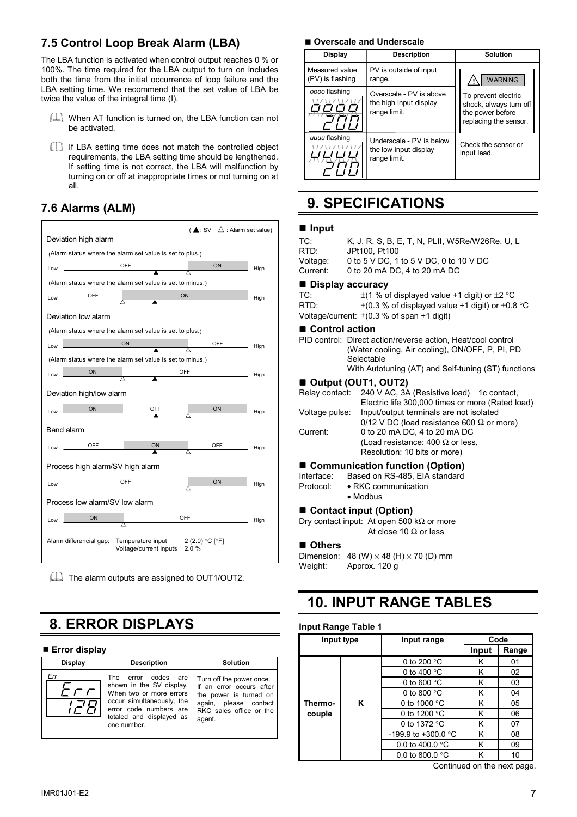### **7.5 Control Loop Break Alarm (LBA)**

The LBA function is activated when control output reaches 0 % or 100%. The time required for the LBA output to turn on includes both the time from the initial occurrence of loop failure and the LBA setting time. We recommend that the set value of LBA be twice the value of the integral time (I).

- When AT function is turned on, the LBA function can not be activated.
- If LBA setting time does not match the controlled object requirements, the LBA setting time should be lengthened. If setting time is not correct, the LBA will malfunction by turning on or off at inappropriate times or not turning on at all.

### **7.6 Alarms (ALM)**

![](_page_6_Figure_5.jpeg)

The alarm outputs are assigned to OUT1/OUT2.

## **8. ERROR DISPLAYS**

#### ■ Error display

| <b>Display</b> | <b>Description</b>                                                                                                                                                                    | <b>Solution</b>                                                                                                                              |
|----------------|---------------------------------------------------------------------------------------------------------------------------------------------------------------------------------------|----------------------------------------------------------------------------------------------------------------------------------------------|
| Err<br>, , ,   | codes<br>The<br>error<br>are<br>shown in the SV display.<br>When two or more errors<br>occur simultaneously, the<br>error code numbers are<br>totaled and displayed as<br>one number. | Turn off the power once.<br>If an error occurs after<br>the power is turned on<br>again, please contact<br>RKC sales office or the<br>agent. |

#### ■ Overscale and Underscale

| <b>Display</b>                     | <b>Description</b>                                                | <b>Solution</b>                                                                            |
|------------------------------------|-------------------------------------------------------------------|--------------------------------------------------------------------------------------------|
| Measured value<br>(PV) is flashing | PV is outside of input<br>range.                                  | <b>WARNING</b>                                                                             |
| oooo flashing                      | Overscale - PV is above<br>the high input display<br>range limit. | To prevent electric<br>shock, always turn off<br>the power before<br>replacing the sensor. |
| uuuu flashing                      | Underscale - PV is below<br>the low input display<br>range limit. | Check the sensor or<br>input lead.                                                         |

## **9. SPECIFICATIONS**

#### **Input**

| TC:<br>RTD:<br>Voltage:<br>Current:                                              | K, J, R, S, B, E, T, N, PLII, W5Re/W26Re, U, L<br>JPt100, Pt100<br>0 to 5 V DC, 1 to 5 V DC, 0 to 10 V DC<br>0 to 20 mA DC, 4 to 20 mA DC                                            |  |  |  |
|----------------------------------------------------------------------------------|--------------------------------------------------------------------------------------------------------------------------------------------------------------------------------------|--|--|--|
| ■ Display accuracy<br>TC:<br>RTD:                                                | $\pm$ (1 % of displayed value +1 digit) or $\pm$ 2 °C<br>$\pm$ (0.3 % of displayed value +1 digit) or $\pm$ 0.8 °C<br>Voltage/current: $\pm$ (0.3 % of span +1 digit)                |  |  |  |
| ■ Control action                                                                 | PID control: Direct action/reverse action, Heat/cool control<br>(Water cooling, Air cooling), ON/OFF, P, PI, PD<br>Selectable<br>With Autotuning (AT) and Self-tuning (ST) functions |  |  |  |
|                                                                                  | Output (OUT1, OUT2)                                                                                                                                                                  |  |  |  |
|                                                                                  | Relay contact: 240 V AC, 3A (Resistive load) 1c contact,                                                                                                                             |  |  |  |
| Voltage pulse:                                                                   | Electric life 300,000 times or more (Rated load)<br>Input/output terminals are not isolated                                                                                          |  |  |  |
|                                                                                  | 0/12 V DC (load resistance 600 $\Omega$ or more)                                                                                                                                     |  |  |  |
| Current:                                                                         | 0 to 20 mA DC, 4 to 20 mA DC                                                                                                                                                         |  |  |  |
|                                                                                  | (Load resistance: 400 $\Omega$ or less,                                                                                                                                              |  |  |  |
|                                                                                  | Resolution: 10 bits or more)                                                                                                                                                         |  |  |  |
| ■ Communication function (Option)<br>Interface:<br>Based on RS-485, EIA standard |                                                                                                                                                                                      |  |  |  |
| Protocol:                                                                        | • RKC communication                                                                                                                                                                  |  |  |  |
| • Modbus                                                                         |                                                                                                                                                                                      |  |  |  |
|                                                                                  | ■ Contact input (Option)                                                                                                                                                             |  |  |  |

Dry contact input: At open 500 kΩ or more At close 10  $\Omega$  or less

#### **Others**

```
Dimension: 48 \, (W) \times 48 \, (H) \times 70 \, (D) \, \text{mm}<br>Weight: Approx. 120 g
            Approx. 120 g
```
## **10. INPUT RANGE TABLES**

#### **Input Range Table 1**

| Input type |   | Input range               | Code  |       |
|------------|---|---------------------------|-------|-------|
|            |   |                           | Input | Range |
|            |   | 0 to 200 $\degree$ C      | κ     | 01    |
|            |   | 0 to 400 $\degree$ C      | κ     | 02    |
|            |   | 0 to 600 $\degree$ C      | κ     | 03    |
|            |   | 0 to 800 $\degree$ C      | κ     | 04    |
| Thermo-    | Κ | 0 to 1000 °C              | κ     | 05    |
| couple     |   | 0 to 1200 $\degree$ C     | κ     | 06    |
|            |   | 0 to 1372 °C              | κ     | 07    |
|            |   | -199.9 to +300.0 °C       | κ     | 08    |
|            |   | 0.0 to 400.0 $\degree$ C  | κ     | 09    |
|            |   | 0.0 to 800.0 $^{\circ}$ C | κ     | 10    |

Continued on the next page.